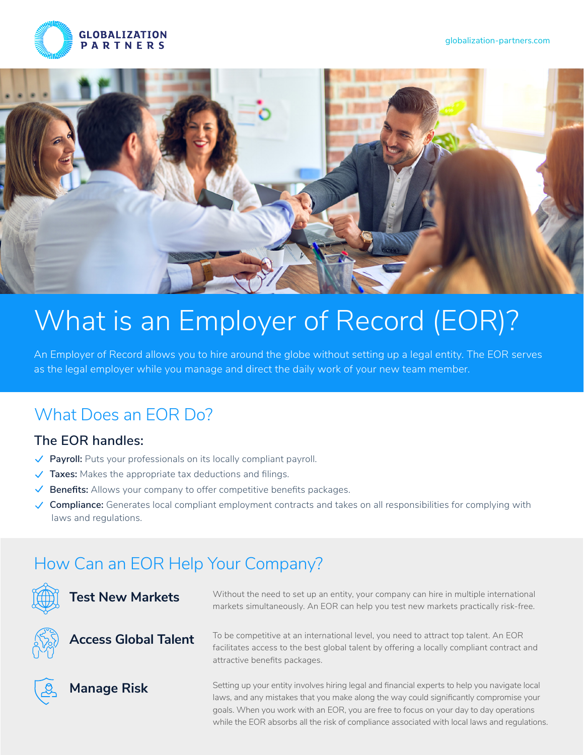



# What is an Employer of Record (EOR)?

An Employer of Record allows you to hire around the globe without setting up a legal entity. The EOR serves as the legal employer while you manage and direct the daily work of your new team member.

# What Does an EOR Do?

### **The EOR handles:**

- ◆ **Payroll:** Puts your professionals on its locally compliant payroll.
- **Taxes:** Makes the appropriate tax deductions and filings.
- ◆ **Benefits:** Allows your company to offer competitive benefits packages.
- **Compliance:** Generates local compliant employment contracts and takes on all responsibilities for complying with laws and regulations.

# How Can an EOR Help Your Company?



**Test New Markets**



Without the need to set up an entity, your company can hire in multiple international markets simultaneously. An EOR can help you test new markets practically risk-free.

To be competitive at an international level, you need to attract top talent. An EOR facilitates access to the best global talent by offering a locally compliant contract and attractive benefits packages.



**Manage Risk**

Setting up your entity involves hiring legal and financial experts to help you navigate local laws, and any mistakes that you make along the way could significantly compromise your goals. When you work with an EOR, you are free to focus on your day to day operations while the EOR absorbs all the risk of compliance associated with local laws and regulations.